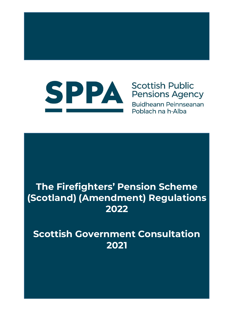

# **Scottish Public Pensions Agency**

Buidheann Peinnseanan Poblach na h-Alba

# **The Firefighters' Pension Scheme (Scotland) (Amendment) Regulations 2022**

**Scottish Government Consultation 2021**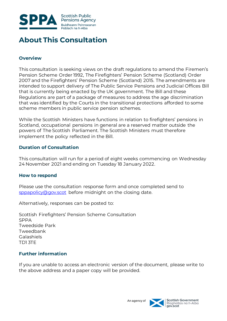

# **About This Consultation**

### **Overview**

This consultation is seeking views on the draft regulations to amend the Firemen's Pension Scheme Order 1992, The Firefighters' Pension Scheme (Scotland) Order 2007 and the Firefighters' Pension Scheme (Scotland) 2015. The amendments are intended to support delivery of The Public Service Pensions and Judicial Offices Bill that is currently being enacted by the UK government. The Bill and these Regulations are part of a package of measures to address the age discrimination that was identified by the Courts in the transitional protections afforded to some scheme members in public service pension schemes.

While the Scottish Ministers have functions in relation to firefighters' pensions in Scotland, occupational pensions in general are a reserved matter outside the powers of The Scottish Parliament. The Scottish Ministers must therefore implement the policy reflected in the Bill.

#### **Duration of Consultation**

This consultation will run for a period of eight weeks commencing on Wednesday 24 November 2021 and ending on Tuesday 18 January 2022.

#### **How to respond**

Please use the consultation response form and once completed send to [sppapolicy@gov.scot](mailto:sppapolicy@gov.scot) before midnight on the closing date.

Alternatively, responses can be posted to:

Scottish Firefighters' Pension Scheme Consultation SPPA Tweedside Park Tweedbank Galashiels TD1 3TE

### **Further information**

If you are unable to access an electronic version of the document, please write to the above address and a paper copy will be provided.

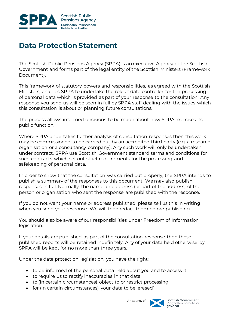

# **Data Protection Statement**

The Scottish Public Pensions Agency (SPPA) is an executive Agency of the Scottish Government and forms part of the legal entity of the Scottish Ministers (Framework Document).

This framework of statutory powers and responsibilities, as agreed with the Scottish Ministers, enables SPPA to undertake the role of data controller for the processing of personal data which is provided as part of your response to the consultation. Any response you send us will be seen in full by SPPA staff dealing with the issues which this consultation is about or planning future consultations.

The process allows informed decisions to be made about how SPPA exercises its public function.

Where SPPA undertakes further analysis of consultation responses then this work may be commissioned to be carried out by an accredited third party (e.g. a research organisation or a consultancy company). Any such work will only be undertaken under contract. SPPA use Scottish Government standard terms and conditions for such contracts which set out strict requirements for the processing and safekeeping of personal data.

In order to show that the consultation was carried out properly, the SPPA intends to publish a summary of the responses to this document. We may also publish responses in full. Normally, the name and address (or part of the address) of the person or organisation who sent the response are published with the response.

If you do not want your name or address published, please tell us this in writing when you send your response. We will then redact them before publishing.

You should also be aware of our responsibilities under Freedom of Information legislation.

If your details are published as part of the consultation response then these published reports will be retained indefinitely. Any of your data held otherwise by SPPA will be kept for no more than three years.

Under the data protection legislation, you have the right:

- to be informed of the personal data held about you and to access it
- to require us to rectify inaccuracies in that data
- to (in certain circumstances) object to or restrict processing
- for (in certain circumstances) your data to be 'erased'

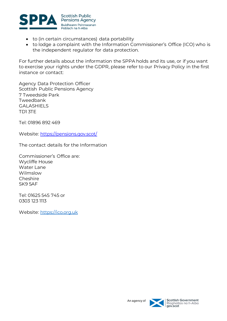

- to (in certain circumstances) data portability
- to lodge a complaint with the Information Commissioner's Office (ICO) who is the independent regulator for data protection.

For further details about the information the SPPA holds and its use, or if you want to exercise your rights under the GDPR, please refer to our Privacy Policy in the first instance or contact:

Agency Data Protection Officer Scottish Public Pensions Agency 7 Tweedside Park Tweedbank GALASHIELS TD1 3TE

Tel: 01896 892 469

Website:<https://pensions.gov.scot/>

The contact details for the Information

Commissioner's Office are: Wycliffe House Water Lane Wilmslow Cheshire SK9 5AF

Tel: 01625 545 745 or 0303 123 1113

Website: [https://ico.org.uk](https://ico.org.uk/)

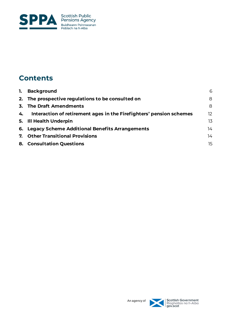

# **Contents**

| 2. The prospective regulations to be consulted on<br>3. The Draft Amendments<br>Interaction of retirement ages in the Firefighters' pension schemes<br>4.<br>5. Ill Health Underpin | 8<br>8<br>12 <sup>°</sup> |
|-------------------------------------------------------------------------------------------------------------------------------------------------------------------------------------|---------------------------|
|                                                                                                                                                                                     |                           |
|                                                                                                                                                                                     |                           |
|                                                                                                                                                                                     |                           |
|                                                                                                                                                                                     | 13                        |
| 6. Legacy Scheme Additional Benefits Arrangements                                                                                                                                   | 14                        |
| 7. Other Transitional Provisions                                                                                                                                                    | 14                        |
| 8. Consultation Questions                                                                                                                                                           | 15                        |

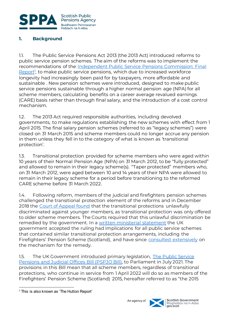

#### <span id="page-5-0"></span>**1. Background**

1.1. The Public Service Pensions Act 2013 (the 2013 Act) introduced reforms to public service pension schemes. The aim of the reforms was to implement the recommendations of the Independent Public Service Pensions Commission: Final [Report](https://assets.publishing.service.gov.uk/government/uploads/system/uploads/attachment_data/file/207720/hutton_final_100311.pdf)<sup>1</sup>, to make public service pensions, which due to increased workforce longevity had increasingly been paid for by taxpayers, more affordable and sustainable . New pension schemes were introduced, designed to make public service pensions sustainable through a higher normal pension age (NPA) for all scheme members, calculating benefits on a career average revalued earnings (CARE) basis rather than through final salary, and the introduction of a cost control mechanism.

1.2. The 2013 Act required responsible authorities, including devolved governments, to make regulations establishing the new schemes with effect from 1 April 2015. The final salary pension schemes (referred to as "legacy schemes") were closed on 31 March 2015 and scheme members could no longer accrue any pension in them unless they fell in to the category of what is known as 'transitional protection'.

1.3. Transitional protection provided for scheme members who were aged within 10 years of their Normal Pension Age (NPA) on 31 March 2012, to be "fully protected" and allowed to remain in their legacy scheme(s). "Taper protected" members who, on 31 March 2012, were aged between 10 and 14 years of their NPA were allowed to remain in their legacy scheme for a period before transitioning to the reformed CARE scheme before 31 March 2022.

1.4. Following reform, members of the judicial and firefighters pension schemes challenged the transitional protection element of the reforms and in December 2018 the [Court of Appeal found](https://www.judiciary.uk/wp-content/uploads/2018/12/lord-chancellor-v-mcloud-and-ors-judgment.pdf) that the transitional protections unlawfully discriminated against younger members, as transitional protection was only offered to older scheme members. The Courts required that this unlawful discrimination be remedied by the government. In a [written ministerial statement](https://questions-statements.parliament.uk/written-statements/detail/2019-07-15/HCWS1725) the UK government accepted the ruling had implications for all public service schemes that contained similar transitional protection arrangements, including the Firefighters' Pension Scheme (Scotland), and have since [consulted extensively](https://assets.publishing.service.gov.uk/government/uploads/system/uploads/attachment_data/file/900766/Public_Service_Pensions_Consultation.pdf) on the mechanism for the remedy.

1.5. The UK Government introduced primary legislation, [The Public Service](https://bills.parliament.uk/publications/42278/documents/567)  [Pensions and Judicial Offices Bill \(PSPJO Bill\),](https://bills.parliament.uk/publications/42278/documents/567) to Parliament in July 2021. The provisions in this Bill mean that all scheme members, regardless of transitional protections, who continue in service from 1 April 2022 will do so as members of the Firefighters' Pension Scheme (Scotland) 2015, hereafter referred to as "the 2015

l



<sup>&</sup>lt;sup>1</sup> This is also known as 'The Hutton Report'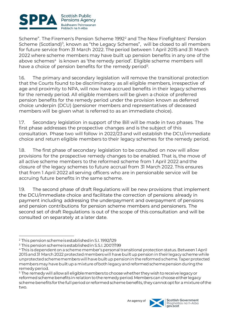

Scheme". The Firemen's Pension Scheme 1992<sup>2</sup> and The New Firefighters' Pension Scheme (Scotland)<sup>3</sup>, known as "the Legacy Schemes", will be closed to all members for future service from 31 March 2022. The period between 1 April 2015 and 31 March 2022 where scheme members may have built up pension benefits in any one of the above schemes<sup>4</sup> is known as 'the remedy period'. Eligible scheme members will have a choice of pension benefits for the remedy period<sup>5</sup>.

1.6. The primary and secondary legislation will remove the transitional protection that the Courts found to be discriminatory as all eligible members, irrespective of age and proximity to NPA, will now have accrued benefits in their legacy schemes for the remedy period. All eligible members will be given a choice of preferred pension benefits for the remedy period under the provision known as deferred choice underpin (DCU) (pensioner members and representatives of deceased members will be given what is referred to as an immediate choice).

1.7. Secondary legislation in support of the Bill will be made in two phases. The first phase addresses the prospective changes and is the subject of this consultation. Phase two will follow in 2022/23 and will establish the DCU/immediate choice and return eligible members to their legacy schemes for the remedy period.

1.8. The first phase of secondary legislation to be consulted on now will allow provisions for the prospective remedy changes to be enabled. That is, the move of all active scheme members to the reformed scheme from 1 April 2022 and the closure of the legacy schemes to future accrual from 31 March 2022. This ensures that from 1 April 2022 all serving officers who are in pensionable service will be accruing future benefits in the same scheme.

1.9. The second phase of draft Regulations will be new provisions that implement the DCU/immediate choice and facilitate the correction of pensions already in payment including addressing the underpayment and overpayment of pensions and pension contributions for pension scheme members and pensioners. The second set of draft Regulations is out of the scope of this consultation and will be consulted on separately at a later date.

<sup>5</sup> The remedy will allow all eligible members to choose whether they wish to receive legacy or reformed scheme benefits in relation to the remedy period. Members can choose either legacy scheme benefits for the full period or reformed scheme benefits, they cannot opt for a mixture of the two.



l <sup>2</sup> This pension scheme is established in S.I. 1992/129

<sup>&</sup>lt;sup>3</sup> This pension scheme is established in S.S.I. 2007/199

<sup>4</sup> This is dependent on a scheme member's personal transitional protection status. Between 1 April 2015 and 31 March 2022 protected members will have built up pension in their legacy scheme while unprotected scheme members will have built up pension in the reformed scheme. Taper protected members may have built up a mixture of both legacy and reformed scheme pension during the remedy period.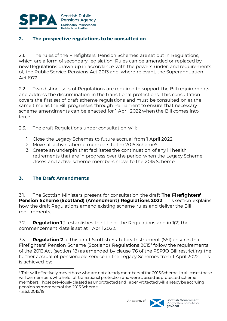

## <span id="page-7-0"></span>**2. The prospective regulations to be consulted on**

2.1. The rules of the Firefighters' Pension Schemes are set out in Regulations, which are a form of secondary legislation. Rules can be amended or replaced by new Regulations drawn up in accordance with the powers under, and requirements of, the Public Service Pensions Act 2013 and, where relevant, the Superannuation Act 1972.

2.2. Two distinct sets of Regulations are required to support the Bill requirements and address the discrimination in the transitional protections. This consultation covers the first set of draft scheme regulations and must be consulted on at the same time as the Bill progresses through Parliament to ensure that necessary scheme amendments can be enacted for 1 April 2022 when the Bill comes into force.

2.3. The draft Regulations under consultation will:

- 1. Close the Legacy Schemes to future accrual from 1 April 2022
- 2. Move all active scheme members to the 2015 Scheme<sup>6</sup>
- 3. Create an underpin that facilitates the continuation of any ill health retirements that are in progress over the period when the Legacy Scheme closes and active scheme members move to the 2015 Scheme

### <span id="page-7-1"></span>**3. The Draft Amendments**

3.1. The Scottish Ministers present for consultation the draft **The Firefighters' Pension Scheme (Scotland) (Amendment) Regulations 2022**. This section explains how the draft Regulations amend existing scheme rules and deliver the Bill requirements.

3.2. **Regulation 1**(1) establishes the title of the Regulations and in 1(2) the commencement date is set at 1 April 2022.

3.3. **Regulation 2** of this draft Scottish Statutory Instrument (SSI) ensures that Firefighters' Pension Scheme (Scotland) Regulations 2015<sup>7</sup> follow the requirements of the 2013 Act (section 18) as amended by clause 76 of the PSPJO Bill restricting the further accrual of pensionable service in the Legacy Schemes from 1 April 2022. This is achieved by:

l



<sup>&</sup>lt;sup>6</sup> This will effectively move those who are not already members of the 2015 Scheme. In all cases these will be members who held full transitional protection and were classed as protected scheme members. Those previously classed as Unprotected and Taper Protected will already be accruing pension as members of the 2015 Scheme.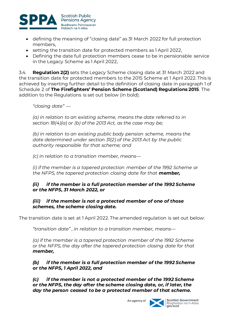

- defining the meaning of "closing date" as 31 March 2022 for full protection members,
- setting the transition date for protected members as 1 April 2022,
- Defining the date full protection members cease to be in pensionable service in the Legacy Scheme as 1 April 2022,

3.4. **Regulation 2(2)** sets the Legacy Scheme closing date at 31 March 2022 and the transition date for protected members to the 2015 Scheme at 1 April 2022. This is achieved by inserting further detail to the definition of closing date in paragraph 1 of Schedule 2 of **The Firefighters' Pension Scheme (Scotland) Regulations 2015**. The addition to the Regulations is set out below (in bold):

*"closing date" —*

*(a) in relation to an existing scheme, means the date referred to in section 18(4)(a) or (b) of the 2013 Act, as the case may be;*

*(b) in relation to an existing public body pension scheme, means the date determined under section 31(2) of the 2013 Act by the public authority responsible for that scheme; and*

*(c) in relation to a transition member, means—*

*(i) if the member is a tapered protection member of the 1992 Scheme or the NFPS, the tapered protection closing date for that member,*

### *(ii) if the member is a full protection member of the 1992 Scheme or the NFPS, 31 March 2022, or*

#### *(iii) if the member is not a protected member of one of those schemes, the scheme closing date.*

The transition date is set at 1 April 2022. The amended regulation is set out below:

*"transition date" , in relation to a transition member, means—*

*(a) if the member is a tapered protection member of the 1992 Scheme or the NFPS, the day after the tapered protection closing date for that member,*

### *(b) if the member is a full protection member of the 1992 Scheme or the NFPS, 1 April 2022, and*

*(c) if the member is not a protected member of the 1992 Scheme or the NFPS, the day after the scheme closing date, or, if later, the day the person ceased to be a protected member of that scheme.*

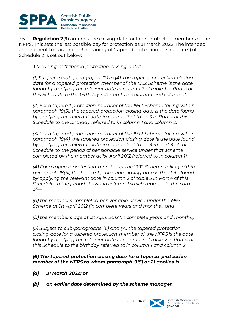

3.5. **Regulation 2(3)** amends the closing date for taper protected members of the NFPS. This sets the last possible day for protection as 31 March 2022. The intended amendment to paragraph 3 (meaning of "tapered protection closing date") of Schedule 2 is set out below:

*3 Meaning of "tapered protection closing date"*

*(1) Subject to sub-paragraphs (2) to (4), the tapered protection closing date for a tapered protection member of the 1992 Scheme is the date found by applying the relevant date in column 3 of table 1 in Part 4 of this Schedule to the birthday referred to in column 1 and column 2.*

*(2) For a tapered protection member of the 1992 Scheme falling within paragraph 18(3), the tapered protection closing date is the date found by applying the relevant date in column 3 of table 3 in Part 4 of this Schedule to the birthday referred to in column 1 and column 2.*

*(3) For a tapered protection member of the 1992 Scheme falling within paragraph 18(4), the tapered protection closing date is the date found by applying the relevant date in column 2 of table 4 in Part 4 of this Schedule to the period of pensionable service under that scheme completed by the member at 1st April 2012 (referred to in column 1).*

*(4) For a tapered protection member of the 1992 Scheme falling within paragraph 18(5), the tapered protection closing date is the date found by applying the relevant date in column 2 of table 5 in Part 4 of this Schedule to the period shown in column 1 which represents the sum of—*

*(a) the member's completed pensionable service under the 1992 Scheme at 1st April 2012 (in complete years and months); and*

*(b) the member's age at 1st April 2012 (in complete years and months).*

*(5) Subject to sub-paragraphs (6) and (7), the tapered protection closing date for a tapered protection member of the NFPS is the date found by applying the relevant date in column 3 of table 2 in Part 4 of this Schedule to the birthday referred to in column 1 and column 2.*

#### *(6) The tapered protection closing date for a tapered protection member of the NFPS to whom paragraph 9(5) or 21 applies is—*

- *(a) 31 March 2022; or*
- *(b) an earlier date determined by the scheme manager.*

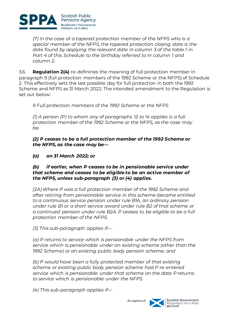

*(7) In the case of a tapered protection member of the NFPS who is a special member of the NFPS, the tapered protection closing date is the date found by applying the relevant date in column 3 of the table 1 in Part 4 of this Schedule to the birthday referred to in column 1 and column 2.*

3.6. **Regulation 2(4)** re-definines the meaning of full protection member in paragraph 9 (full protection members of the 1992 Scheme or the NFPS) of Schedule 2. This effectively sets the last possible day for full protection in both the 1992 Scheme and NFPS as 31 March 2022. The intended amendment to the Regulation is set out below:

*9 Full protection members of the 1992 Scheme or the NFPS*

*(1) A person (P) to whom any of paragraphs 12 to 14 applies is a full protection member of the 1992 Scheme or the NFPS, as the case may be.*

*(2) P ceases to be a full protection member of the 1992 Scheme or the NFPS, as the case may be—*

*(a) on 31 March 2022; or*

#### *(b) if earlier, when P ceases to be in pensionable service under that scheme and ceases to be eligible to be an active member of the NFPS, unless sub-paragraph (3) or (4) applies.*

*(2A) Where P was a full protection member of the 1992 Scheme and after retiring from pensionable service in this scheme became entitled to a continuous service pension under rule B1A, an ordinary pension under rule B1 or a short service award under rule B2 of that scheme or a continued pension under rule B2A, P ceases to be eligible to be a full protection member of the NFPS.*

*(3) This sub-paragraph applies if—*

*(a) P returns to service which is pensionable under the NFPS from service which is pensionable under an existing scheme (other than the 1992 Scheme) or an existing public body pension scheme; and*

*(b) P would have been a fully protected member of that existing scheme or existing public body pension scheme had P re-entered service which is pensionable under that scheme on the date P returns to service which is pensionable under the NFPS.*

*(4) This sub-paragraph applies if—*

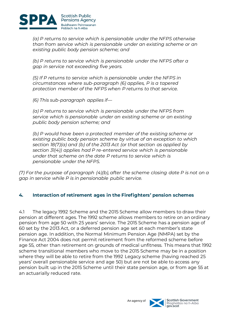

*(a) P returns to service which is pensionable under the NFPS otherwise than from service which is pensionable under an existing scheme or an existing public body pension scheme; and*

*(b) P returns to service which is pensionable under the NFPS after a gap in service not exceeding five years.*

*(5) If P returns to service which is pensionable under the NFPS in circumstances where sub-paragraph (6) applies, P is a tapered protection member of the NFPS when P returns to that service.*

*(6) This sub-paragraph applies if—*

*(a) P returns to service which is pensionable under the NFPS from service which is pensionable under an existing scheme or an existing public body pension scheme; and*

*(b) P would have been a protected member of the existing scheme or existing public body pension scheme by virtue of an exception to which section 18(7)(a) and (b) of the 2013 Act (or that section as applied by section 31(4)) applies had P re-entered service which is pensionable under that scheme on the date P returns to service which is pensionable under the NFPS.*

*(7) For the purpose of paragraph (4)(b), after the scheme closing date P is not on a gap in service while P is in pensionable public service.*

### <span id="page-11-0"></span>**4. Interaction of retirement ages in the Firefighters' pension schemes**

4.1 The legacy 1992 Scheme and the 2015 Scheme allow members to draw their pension at different ages. The 1992 scheme allows members to retire on an ordinary pension from age 50 with 25 years' service. The 2015 Scheme has a pension age of 60 set by the 2013 Act, or a deferred pension age set at each member's state pension age. In addition, the Normal Minimum Pension Age (NMPA) set by the Finance Act 2004 does not permit retirement from the reformed scheme before age 55, other than retirement on grounds of medical unfitness. This means that 1992 scheme transitional members who move to the 2015 Scheme may be in a position where they will be able to retire from the 1992 Legacy scheme (having reached 25 years' overall pensionable service and age 50) but are not be able to access any pension built up in the 2015 Scheme until their state pension age, or from age 55 at an actuarially reduced rate.



An agency of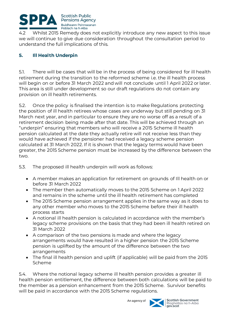

4.2 Whilst 2015 Remedy does not explicitly introduce any new aspect to this issue we will continue to give due consideration throughout the consultation period to understand the full implications of this.

### <span id="page-12-0"></span>**5. Ill Health Underpin**

5.1. There will be cases that will be in the process of being considered for ill health retirement during the transition to the reformed scheme i.e. the ill health process will begin on or before 31 March 2022 and will not conclude until 1 April 2022 or later. This area is still under development so our draft regulations do not contain any provision on ill health retirements.

5.2. Once the policy is finalised the intention is to make Regulations protecting the position of ill health retirees whose cases are underway but still pending on 31 March next year, and in particular to ensure they are no worse off as a result of a retirement decision being made after that date. This will be achieved through an "underpin" ensuring that members who will receive a 2015 Scheme ill health pension calculated at the date they actually retire will not receive less than they would have achieved if the pensioner had received a legacy scheme pension calculated at 31 March 2022. If it is shown that the legacy terms would have been greater, the 2015 Scheme pension must be increased by the difference between the two.

5.3. The proposed ill health underpin will work as follows:

- A member makes an application for retirement on grounds of Ill health on or before 31 March 2022
- The member then automatically moves to the 2015 Scheme on 1 April 2022 and remains in the scheme until the ill health retirement has completed
- The 2015 Scheme pension arrangement applies in the same way as it does to any other member who moves to the 2015 Scheme before their ill health process starts
- A notional ill health pension is calculated in accordance with the member's legacy scheme provisions on the basis that they had been ill health retired on 31 March 2022
- A comparison of the two pensions is made and where the legacy arrangements would have resulted in a higher pension the 2015 Scheme pension is uplifted by the amount of the difference between the two arrangements
- The final ill health pension and uplift (if applicable) will be paid from the 2015 Scheme

5.4. Where the notional legacy scheme ill health pension provides a greater ill health pension entitlement, the difference between both calculations will be paid to the member as a pension enhancement from the 2015 Scheme. Survivor benefits will be paid in accordance with the 2015 Scheme regulations.

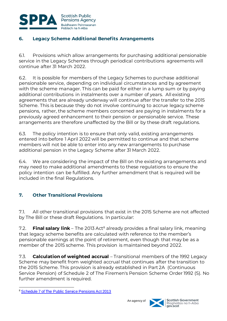

# <span id="page-13-0"></span>**6. Legacy Scheme Additional Benefits Arrangements**

6.1. Provisions which allow arrangements for purchasing additional pensionable service in the Legacy Schemes through periodical contributions agreements will continue after 31 March 2022.

6.2. It is possible for members of the Legacy Schemes to purchase additional pensionable service, depending on individual circumstances and by agreement with the scheme manager. This can be paid for either in a lump sum or by paying additional contributions in instalments over a number of years. All existing agreements that are already underway will continue after the transfer to the 2015 Scheme. This is because they do not involve continuing to accrue legacy scheme pensions, rather, the scheme members concerned are paying in instalments for a previously agreed enhancement to their pension or pensionable service. These arrangements are therefore unaffected by the Bill or by these draft regulations.

6.3. The policy intention is to ensure that only valid, existing arrangements entered into before 1 April 2022 will be permitted to continue and that scheme members will not be able to enter into any new arrangements to purchase additional pension in the Legacy Scheme after 31 March 2022.

6.4. We are considering the impact of the Bill on the existing arrangements and may need to make additional amendments to these regulations to ensure the policy intention can be fulfilled. Any further amendment that is required will be included in the final Regulations.

# <span id="page-13-1"></span>**7. Other Transitional Provisions**

7.1. All other transitional provisions that exist in the 2015 Scheme are not affected by The Bill or these draft Regulations. In particular:

7.2. **Final salary link** – The 2013 Act<sup>8</sup> already provides a final salary link, meaning that legacy scheme benefits are calculated with reference to the member's pensionable earnings at the point of retirement, even though that may be as a member of the 2015 scheme. This provision is maintained beyond 2022.

7.3. **Calculation of weighted accrual** – Transitional members of the 1992 Legacy Scheme may benefit from weighted accrual that continues after the transition to the 2015 Scheme. This provision is already established in Part 2A (Continuous Service Pension) of Schedule 2 of The Firemen's Pension Scheme Order 1992 (S). No further amendment is required.



l <sup>8</sup> [Schedule 7 of The Public Service Pensions Act 2013](https://www.legislation.gov.uk/ukpga/2013/25/schedule/7)